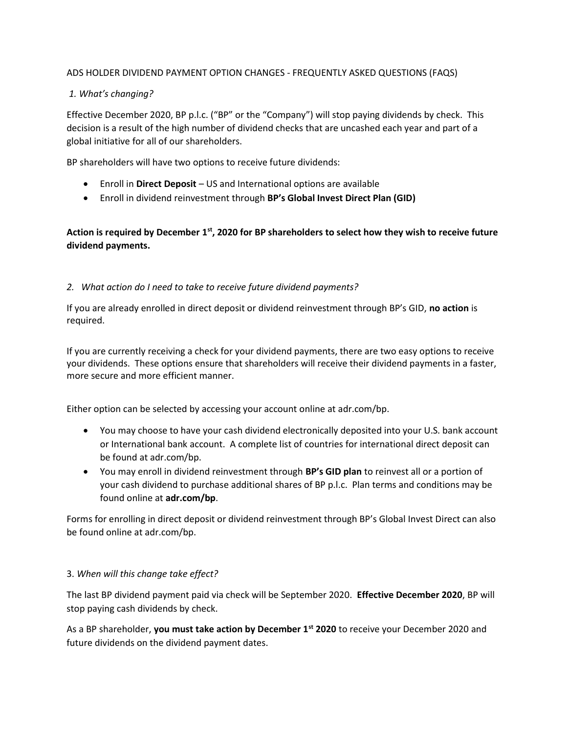#### ADS HOLDER DIVIDEND PAYMENT OPTION CHANGES - FREQUENTLY ASKED QUESTIONS (FAQS)

#### 1. What's changing?

Effective December 2020, BP p.l.c. ("BP" or the "Company") will stop paying dividends by check. This decision is a result of the high number of dividend checks that are uncashed each year and part of a global initiative for all of our shareholders.

BP shareholders will have two options to receive future dividends:

- Enroll in Direct Deposit US and International options are available
- Enroll in dividend reinvestment through BP's Global Invest Direct Plan (GID)

# Action is required by December  $1<sup>st</sup>$ , 2020 for BP shareholders to select how they wish to receive future dividend payments.

#### 2. What action do I need to take to receive future dividend payments?

If you are already enrolled in direct deposit or dividend reinvestment through BP's GID, no action is required.

If you are currently receiving a check for your dividend payments, there are two easy options to receive your dividends. These options ensure that shareholders will receive their dividend payments in a faster, more secure and more efficient manner.

Either option can be selected by accessing your account online at adr.com/bp.

- You may choose to have your cash dividend electronically deposited into your U.S. bank account or International bank account. A complete list of countries for international direct deposit can be found at adr.com/bp.
- You may enroll in dividend reinvestment through BP's GID plan to reinvest all or a portion of your cash dividend to purchase additional shares of BP p.l.c. Plan terms and conditions may be found online at adr.com/bp.

Forms for enrolling in direct deposit or dividend reinvestment through BP's Global Invest Direct can also be found online at adr.com/bp.

#### 3. When will this change take effect?

The last BP dividend payment paid via check will be September 2020. Effective December 2020, BP will stop paying cash dividends by check.

As a BP shareholder, you must take action by December 1<sup>st</sup> 2020 to receive your December 2020 and future dividends on the dividend payment dates.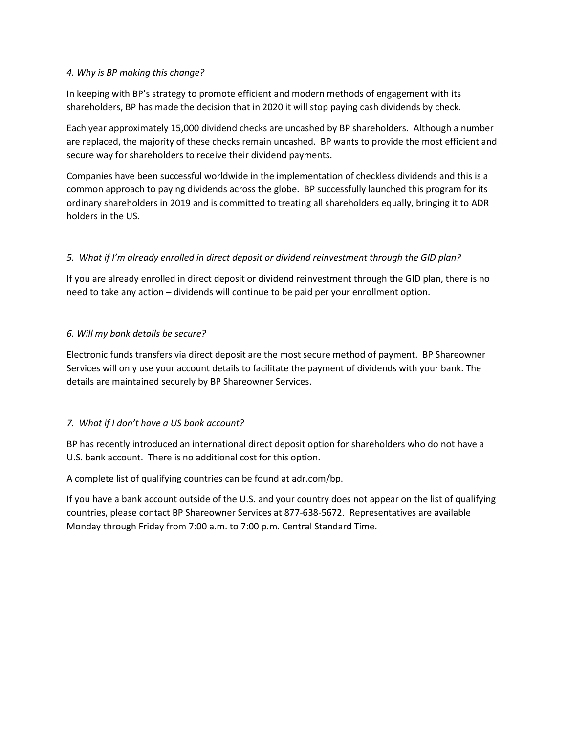#### 4. Why is BP making this change?

In keeping with BP's strategy to promote efficient and modern methods of engagement with its shareholders, BP has made the decision that in 2020 it will stop paying cash dividends by check.

Each year approximately 15,000 dividend checks are uncashed by BP shareholders. Although a number are replaced, the majority of these checks remain uncashed. BP wants to provide the most efficient and secure way for shareholders to receive their dividend payments.

Companies have been successful worldwide in the implementation of checkless dividends and this is a common approach to paying dividends across the globe. BP successfully launched this program for its ordinary shareholders in 2019 and is committed to treating all shareholders equally, bringing it to ADR holders in the US.

# 5. What if I'm already enrolled in direct deposit or dividend reinvestment through the GID plan?

If you are already enrolled in direct deposit or dividend reinvestment through the GID plan, there is no need to take any action – dividends will continue to be paid per your enrollment option.

# 6. Will my bank details be secure?

Electronic funds transfers via direct deposit are the most secure method of payment. BP Shareowner Services will only use your account details to facilitate the payment of dividends with your bank. The details are maintained securely by BP Shareowner Services.

# 7. What if I don't have a US bank account?

BP has recently introduced an international direct deposit option for shareholders who do not have a U.S. bank account. There is no additional cost for this option.

A complete list of qualifying countries can be found at adr.com/bp.

If you have a bank account outside of the U.S. and your country does not appear on the list of qualifying countries, please contact BP Shareowner Services at 877-638-5672. Representatives are available Monday through Friday from 7:00 a.m. to 7:00 p.m. Central Standard Time.